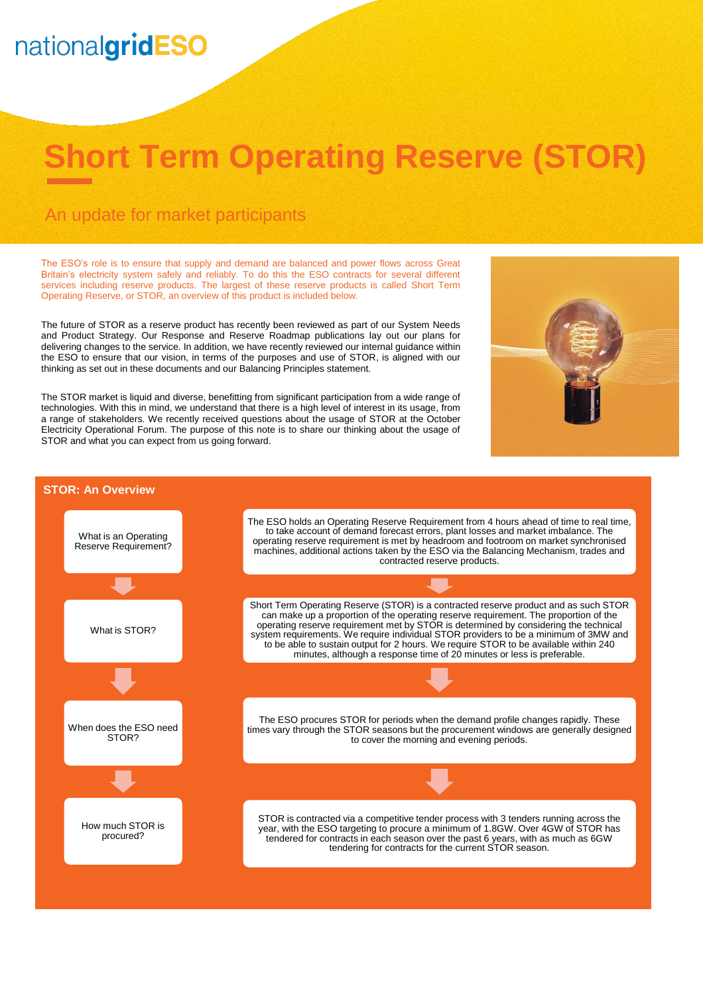## nationalgridESO

# **Short Term Operating Reserve (STOR)**

### An update for market participants

The ESO's role is to ensure that supply and demand are balanced and power flows across Great Britain's electricity system safely and reliably. To do this the ESO contracts for several different services including reserve products. The largest of these reserve products is called Short Term Operating Reserve, or STOR, an overview of this product is included below.

The future of STOR as a reserve product has recently been reviewed as part of our System Needs and Product Strategy. Our Response and Reserve Roadmap publications lay out our plans for delivering changes to the service. In addition, we have recently reviewed our internal guidance within the ESO to ensure that our vision, in terms of the purposes and use of STOR, is aligned with our thinking as set out in these documents and our Balancing Principles statement.

The STOR market is liquid and diverse, benefitting from significant participation from a wide range of technologies. With this in mind, we understand that there is a high level of interest in its usage, from a range of stakeholders. We recently received questions about the usage of STOR at the October Electricity Operational Forum. The purpose of this note is to share our thinking about the usage of STOR and what you can expect from us going forward.



#### **STOR: An Overview**



The ESO holds an Operating Reserve Requirement from 4 hours ahead of time to real time, to take account of demand forecast errors, plant losses and market imbalance. The operating reserve requirement is met by headroom and footroom on market synchronised machines, additional actions taken by the ESO via the Balancing Mechanism, trades and contracted reserve products.

Short Term Operating Reserve (STOR) is a contracted reserve product and as such STOR can make up a proportion of the operating reserve requirement. The proportion of the operating reserve requirement met by STOR is determined by considering the technical system requirements. We require individual STOR providers to be a minimum of 3MW and to be able to sustain output for 2 hours. We require STOR to be available within 240 minutes, although a response time of 20 minutes or less is preferable.

The ESO procures STOR for periods when the demand profile changes rapidly. These times vary through the STOR seasons but the procurement windows are generally designed to cover the morning and evening periods.

STOR is contracted via a competitive tender process with 3 tenders running across the year, with the ESO targeting to procure a minimum of 1.8GW. Over 4GW of STOR has tendered for contracts in each season over the past 6 years, with as much as 6GW tendering for contracts for the current STOR season.